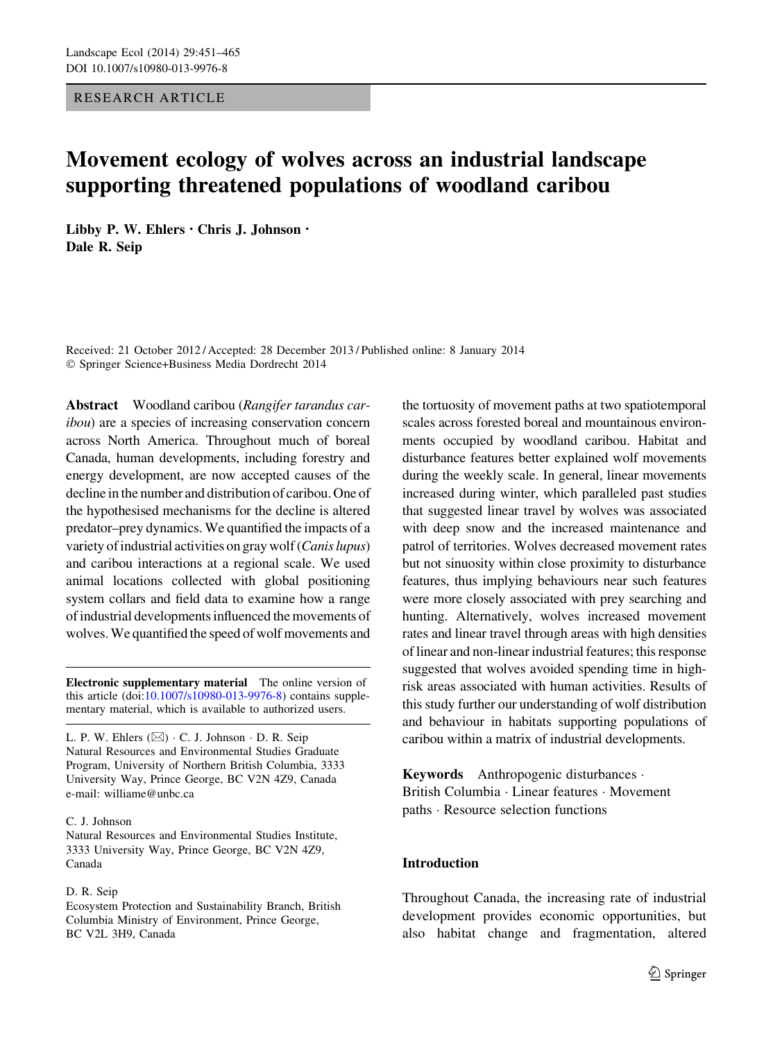RESEARCH ARTICLE

# Movement ecology of wolves across an industrial landscape supporting threatened populations of woodland caribou

Libby P. W. Ehlers • Chris J. Johnson • Dale R. Seip

Received: 21 October 2012 / Accepted: 28 December 2013 / Published online: 8 January 2014 - Springer Science+Business Media Dordrecht 2014

Abstract Woodland caribou (Rangifer tarandus caribou) are a species of increasing conservation concern across North America. Throughout much of boreal Canada, human developments, including forestry and energy development, are now accepted causes of the decline in the number and distribution of caribou. One of the hypothesised mechanisms for the decline is altered predator–prey dynamics. We quantified the impacts of a variety of industrial activities on gray wolf (*Canis lupus*) and caribou interactions at a regional scale. We used animal locations collected with global positioning system collars and field data to examine how a range of industrial developments influenced the movements of wolves.We quantified the speed of wolf movements and

Electronic supplementary material The online version of this article (doi[:10.1007/s10980-013-9976-8\)](http://dx.doi.org/10.1007/s10980-013-9976-8) contains supplementary material, which is available to authorized users.

L. P. W. Ehlers ( $\boxtimes$ ) · C. J. Johnson · D. R. Seip Natural Resources and Environmental Studies Graduate Program, University of Northern British Columbia, 3333 University Way, Prince George, BC V2N 4Z9, Canada e-mail: williame@unbc.ca

#### C. J. Johnson

Natural Resources and Environmental Studies Institute, 3333 University Way, Prince George, BC V2N 4Z9, Canada

## D. R. Seip

the tortuosity of movement paths at two spatiotemporal scales across forested boreal and mountainous environments occupied by woodland caribou. Habitat and disturbance features better explained wolf movements during the weekly scale. In general, linear movements increased during winter, which paralleled past studies that suggested linear travel by wolves was associated with deep snow and the increased maintenance and patrol of territories. Wolves decreased movement rates but not sinuosity within close proximity to disturbance features, thus implying behaviours near such features were more closely associated with prey searching and hunting. Alternatively, wolves increased movement rates and linear travel through areas with high densities of linear and non-linear industrial features; this response suggested that wolves avoided spending time in highrisk areas associated with human activities. Results of this study further our understanding of wolf distribution and behaviour in habitats supporting populations of caribou within a matrix of industrial developments.

Keywords Anthropogenic disturbances - British Columbia - Linear features - Movement paths - Resource selection functions

# Introduction

Throughout Canada, the increasing rate of industrial development provides economic opportunities, but also habitat change and fragmentation, altered

Ecosystem Protection and Sustainability Branch, British Columbia Ministry of Environment, Prince George, BC V2L 3H9, Canada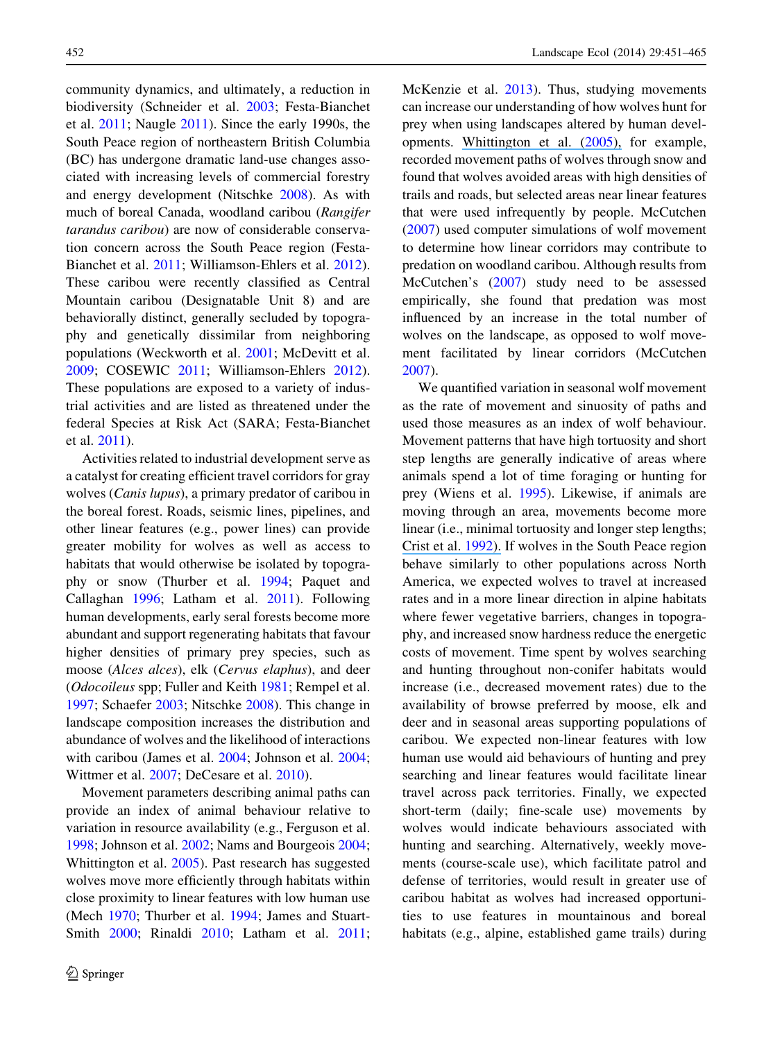community dynamics, and ultimately, a reduction in biodiversity (Schneider et al. 2003; Festa-Bianchet et al. 2011; Naugle 2011). Since the early 1990s, the South Peace region of northeastern British Columbia (BC) has undergone dramatic land-use changes associated with increasing levels of commercial forestry and energy development (Nitschke 2008). As with much of boreal Canada, woodland caribou (Rangifer tarandus caribou) are now of considerable conservation concern across the South Peace region (Festa-Bianchet et al. 2011; Williamson-Ehlers et al. 2012). These caribou were recently classified as Central Mountain caribou (Designatable Unit 8) and are behaviorally distinct, generally secluded by topography and genetically dissimilar from neighboring populations (Weckworth et al. 2001; McDevitt et al. 2009; COSEWIC 2011; Williamson-Ehlers 2012). These populations are exposed to a variety of industrial activities and are listed as threatened under the federal Species at Risk Act (SARA; Festa-Bianchet et al. 2011).

Activities related to industrial development serve as a catalyst for creating efficient travel corridors for gray wolves (Canis lupus), a primary predator of caribou in the boreal forest. Roads, seismic lines, pipelines, and other linear features (e.g., power lines) can provide greater mobility for wolves as well as access to habitats that would otherwise be isolated by topography or snow (Thurber et al. 1994; Paquet and Callaghan 1996; Latham et al. 2011). Following human developments, early seral forests become more abundant and support regenerating habitats that favour higher densities of primary prey species, such as moose (Alces alces), elk (Cervus elaphus), and deer (Odocoileus spp; Fuller and Keith 1981; Rempel et al. 1997; Schaefer 2003; Nitschke 2008). This change in landscape composition increases the distribution and abundance of wolves and the likelihood of interactions with caribou (James et al. 2004; Johnson et al. 2004; Wittmer et al. 2007; DeCesare et al. 2010).

Movement parameters describing animal paths can provide an index of animal behaviour relative to variation in resource availability (e.g., Ferguson et al. 1998; Johnson et al. 2002; Nams and Bourgeois 2004; Whittington et al. 2005). Past research has suggested wolves move more efficiently through habitats within close proximity to linear features with low human use (Mech 1970; Thurber et al. 1994; James and Stuart-Smith 2000; Rinaldi 2010; Latham et al. 2011; McKenzie et al. 2013). Thus, studying movements can increase our understanding of how wolves hunt for prey when using landscapes altered by human developments. [Whittington et al. \(2005\),](https://www.researchgate.net/publication/228835364_Spatial_responses_of_wolves_to_roads_and_trails_in_Jasper_National_Park?el=1_x_8&enrichId=rgreq-8582d48d-1474-49c4-b747-e8b95e4e1040&enrichSource=Y292ZXJQYWdlOzI1OTg5MjE1NztBUzoyMDI2NjE4NzA3Mzk0NjJAMTQyNTMyOTc2MzQyMg==) for example, recorded movement paths of wolves through snow and found that wolves avoided areas with high densities of trails and roads, but selected areas near linear features that were used infrequently by people. McCutchen (2007) used computer simulations of wolf movement to determine how linear corridors may contribute to predation on woodland caribou. Although results from McCutchen's (2007) study need to be assessed empirically, she found that predation was most influenced by an increase in the total number of wolves on the landscape, as opposed to wolf movement facilitated by linear corridors (McCutchen 2007).

We quantified variation in seasonal wolf movement as the rate of movement and sinuosity of paths and used those measures as an index of wolf behaviour. Movement patterns that have high tortuosity and short step lengths are generally indicative of areas where animals spend a lot of time foraging or hunting for prey (Wiens et al. 1995). Likewise, if animals are moving through an area, movements become more linear (i.e., minimal tortuosity and longer step lengths; [Crist et al.](https://www.researchgate.net/publication/216810773_Animal_Movement_in_Heterogeneous_Landscapes_An_Experiment_with_Eleodes_Beetles_in_Shortgrass_Prairie?el=1_x_8&enrichId=rgreq-8582d48d-1474-49c4-b747-e8b95e4e1040&enrichSource=Y292ZXJQYWdlOzI1OTg5MjE1NztBUzoyMDI2NjE4NzA3Mzk0NjJAMTQyNTMyOTc2MzQyMg==) 1992). If wolves in the South Peace region behave similarly to other populations across North America, we expected wolves to travel at increased rates and in a more linear direction in alpine habitats where fewer vegetative barriers, changes in topography, and increased snow hardness reduce the energetic costs of movement. Time spent by wolves searching and hunting throughout non-conifer habitats would increase (i.e., decreased movement rates) due to the availability of browse preferred by moose, elk and deer and in seasonal areas supporting populations of caribou. We expected non-linear features with low human use would aid behaviours of hunting and prey searching and linear features would facilitate linear travel across pack territories. Finally, we expected short-term (daily; fine-scale use) movements by wolves would indicate behaviours associated with hunting and searching. Alternatively, weekly movements (course-scale use), which facilitate patrol and defense of territories, would result in greater use of caribou habitat as wolves had increased opportunities to use features in mountainous and boreal habitats (e.g., alpine, established game trails) during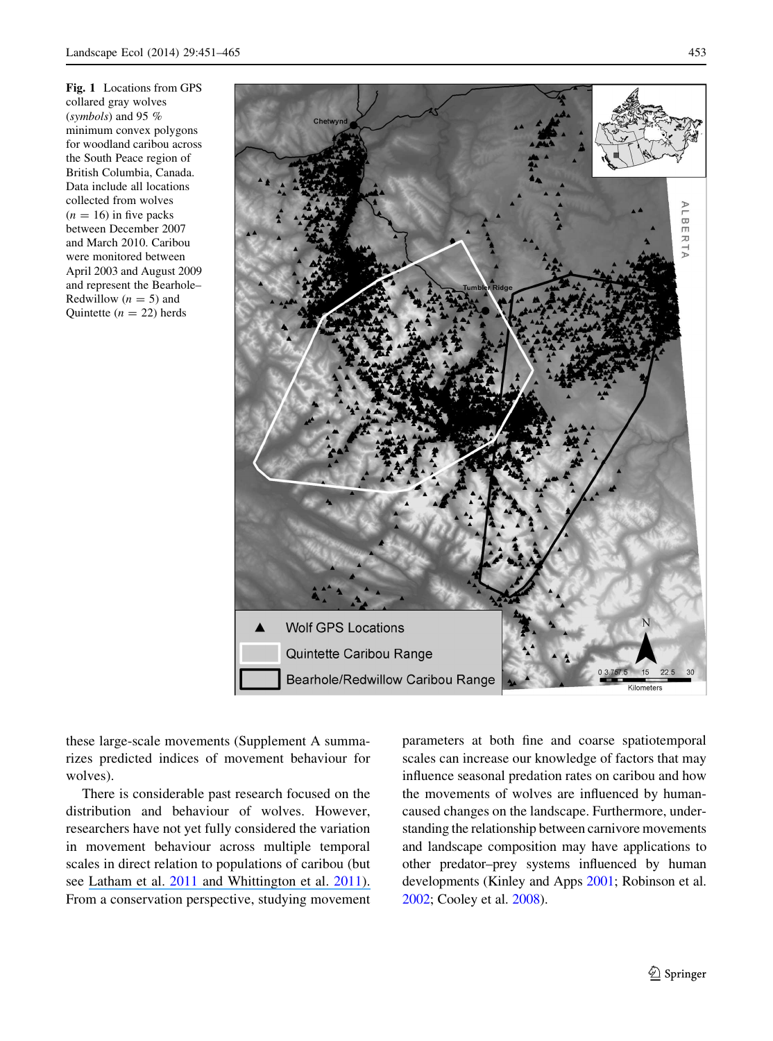Fig. 1 Locations from GPS collared gray wolves (symbols) and 95 % minimum convex polygons for woodland caribou across the South Peace region of British Columbia, Canada. Data include all locations collected from wolves  $(n = 16)$  in five packs between December 2007 and March 2010. Caribou were monitored between April 2003 and August 2009 and represent the Bearhole– Redwillow  $(n = 5)$  and Quintette ( $n = 22$ ) herds



these large-scale movements (Supplement A summarizes predicted indices of movement behaviour for wolves).

There is considerable past research focused on the distribution and behaviour of wolves. However, researchers have not yet fully considered the variation in movement behaviour across multiple temporal scales in direct relation to populations of caribou (but see Latham et al. 2011 [and Whittington et al.](https://www.researchgate.net/publication/225292468_Caribou_encounters_with_wolves_increase_near_roads_and_trails_A_time-to-event_approach?el=1_x_8&enrichId=rgreq-8582d48d-1474-49c4-b747-e8b95e4e1040&enrichSource=Y292ZXJQYWdlOzI1OTg5MjE1NztBUzoyMDI2NjE4NzA3Mzk0NjJAMTQyNTMyOTc2MzQyMg==) 2011). From a conservation perspective, studying movement parameters at both fine and coarse spatiotemporal scales can increase our knowledge of factors that may influence seasonal predation rates on caribou and how the movements of wolves are influenced by humancaused changes on the landscape. Furthermore, understanding the relationship between carnivore movements and landscape composition may have applications to other predator–prey systems influenced by human developments (Kinley and Apps 2001; Robinson et al. 2002; Cooley et al. 2008).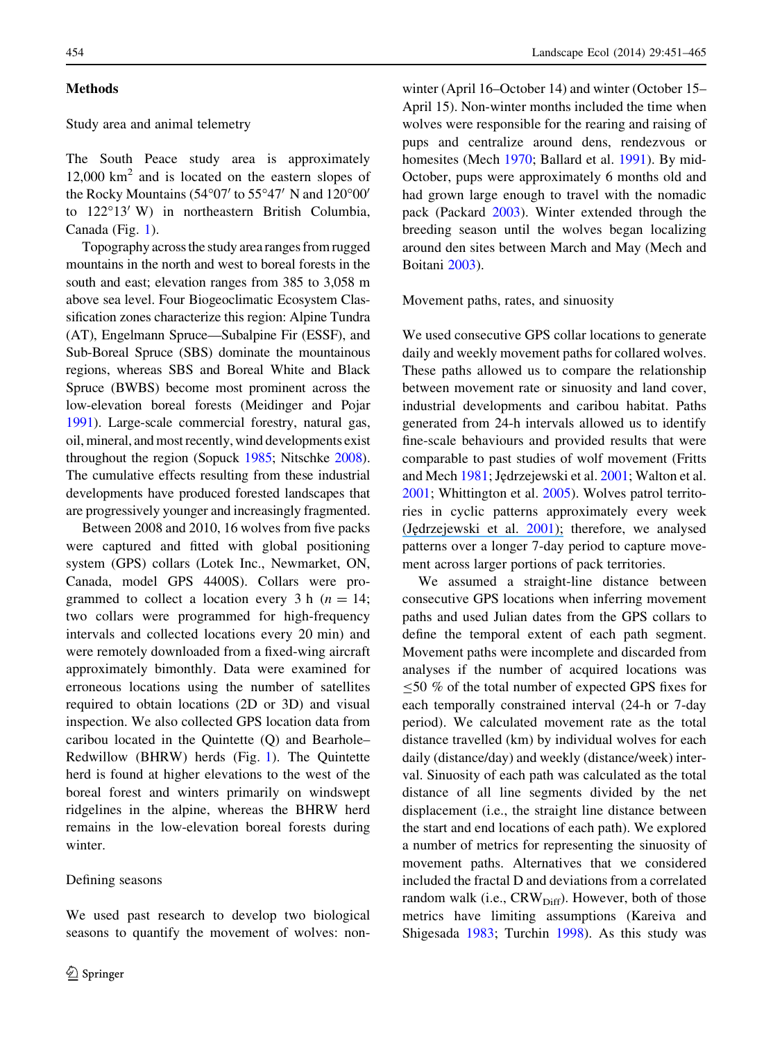# Methods

Study area and animal telemetry

The South Peace study area is approximately  $12,000 \text{ km}^2$  and is located on the eastern slopes of the Rocky Mountains ( $54^{\circ}07'$  to  $55^{\circ}47'$  N and  $120^{\circ}00'$ to  $122^{\circ}13'$  W) in northeastern British Columbia, Canada (Fig. 1).

Topography across the study area ranges from rugged mountains in the north and west to boreal forests in the south and east; elevation ranges from 385 to 3,058 m above sea level. Four Biogeoclimatic Ecosystem Classification zones characterize this region: Alpine Tundra (AT), Engelmann Spruce—Subalpine Fir (ESSF), and Sub-Boreal Spruce (SBS) dominate the mountainous regions, whereas SBS and Boreal White and Black Spruce (BWBS) become most prominent across the low-elevation boreal forests (Meidinger and Pojar 1991). Large-scale commercial forestry, natural gas, oil, mineral, and most recently, wind developments exist throughout the region (Sopuck 1985; Nitschke 2008). The cumulative effects resulting from these industrial developments have produced forested landscapes that are progressively younger and increasingly fragmented.

Between 2008 and 2010, 16 wolves from five packs were captured and fitted with global positioning system (GPS) collars (Lotek Inc., Newmarket, ON, Canada, model GPS 4400S). Collars were programmed to collect a location every 3 h  $(n = 14)$ ; two collars were programmed for high-frequency intervals and collected locations every 20 min) and were remotely downloaded from a fixed-wing aircraft approximately bimonthly. Data were examined for erroneous locations using the number of satellites required to obtain locations (2D or 3D) and visual inspection. We also collected GPS location data from caribou located in the Quintette (Q) and Bearhole– Redwillow (BHRW) herds (Fig. 1). The Quintette herd is found at higher elevations to the west of the boreal forest and winters primarily on windswept ridgelines in the alpine, whereas the BHRW herd remains in the low-elevation boreal forests during winter.

### Defining seasons

We used past research to develop two biological seasons to quantify the movement of wolves: nonwinter (April 16–October 14) and winter (October 15– April 15). Non-winter months included the time when wolves were responsible for the rearing and raising of pups and centralize around dens, rendezvous or homesites (Mech 1970; Ballard et al. 1991). By mid-October, pups were approximately 6 months old and had grown large enough to travel with the nomadic pack (Packard 2003). Winter extended through the breeding season until the wolves began localizing around den sites between March and May (Mech and Boitani 2003).

Movement paths, rates, and sinuosity

We used consecutive GPS collar locations to generate daily and weekly movement paths for collared wolves. These paths allowed us to compare the relationship between movement rate or sinuosity and land cover, industrial developments and caribou habitat. Paths generated from 24-h intervals allowed us to identify fine-scale behaviours and provided results that were comparable to past studies of wolf movement (Fritts and Mech 1981; Jędrzejewski et al. 2001; Walton et al. 2001; Whittington et al. 2005). Wolves patrol territories in cyclic patterns approximately every week (Jędrzejewski et al. 2001); therefore, we analysed patterns over a longer 7-day period to capture movement across larger portions of pack territories.

We assumed a straight-line distance between consecutive GPS locations when inferring movement paths and used Julian dates from the GPS collars to define the temporal extent of each path segment. Movement paths were incomplete and discarded from analyses if the number of acquired locations was  $\leq$ 50 % of the total number of expected GPS fixes for each temporally constrained interval (24-h or 7-day period). We calculated movement rate as the total distance travelled (km) by individual wolves for each daily (distance/day) and weekly (distance/week) interval. Sinuosity of each path was calculated as the total distance of all line segments divided by the net displacement (i.e., the straight line distance between the start and end locations of each path). We explored a number of metrics for representing the sinuosity of movement paths. Alternatives that we considered included the fractal D and deviations from a correlated random walk (i.e.,  $CRW<sub>Diff</sub>$ ). However, both of those metrics have limiting assumptions (Kareiva and Shigesada 1983; Turchin 1998). As this study was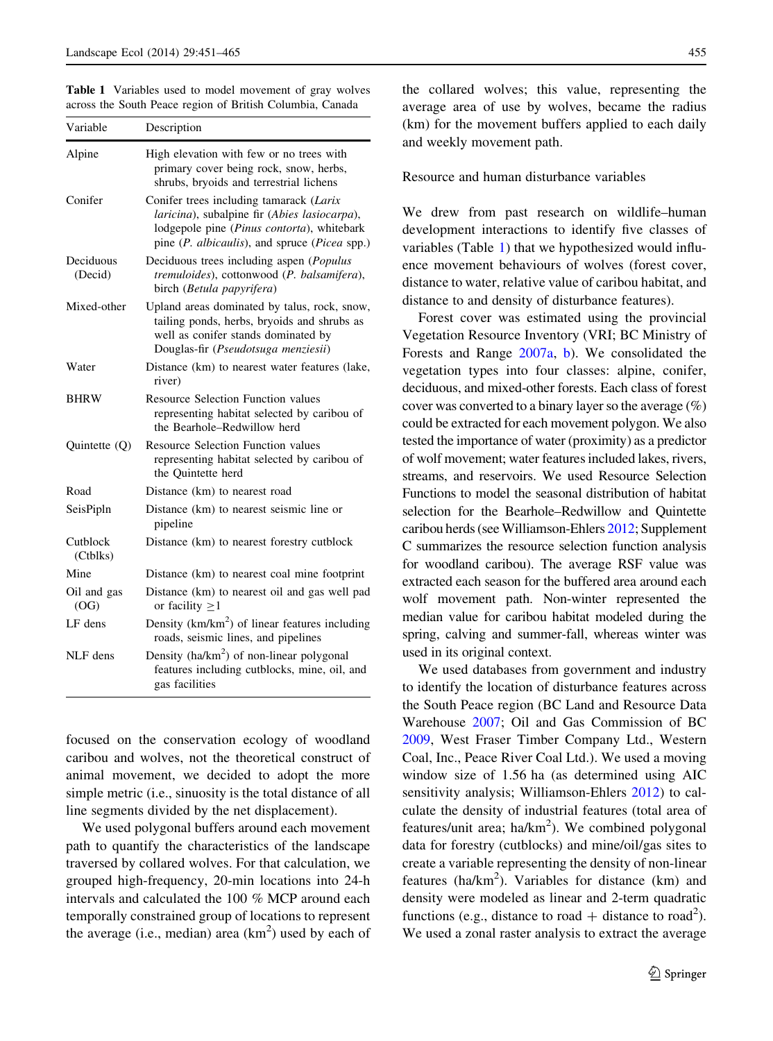Table 1 Variables used to model movement of gray wolves across the South Peace region of British Columbia, Canada

| Variable             | Description                                                                                                                                                                            |  |
|----------------------|----------------------------------------------------------------------------------------------------------------------------------------------------------------------------------------|--|
| Alpine               | High elevation with few or no trees with<br>primary cover being rock, snow, herbs,<br>shrubs, bryoids and terrestrial lichens                                                          |  |
| Conifer              | Conifer trees including tamarack (Larix<br>laricina), subalpine fir (Abies lasiocarpa),<br>lodgepole pine (Pinus contorta), whitebark<br>pine (P. albicaulis), and spruce (Picea spp.) |  |
| Deciduous<br>(Decid) | Deciduous trees including aspen (Populus<br>tremuloides), cottonwood (P. balsamifera),<br>birch (Betula papyrifera)                                                                    |  |
| Mixed-other          | Upland areas dominated by talus, rock, snow,<br>tailing ponds, herbs, bryoids and shrubs as<br>well as conifer stands dominated by<br>Douglas-fir (Pseudotsuga menziesii)              |  |
| Water                | Distance (km) to nearest water features (lake,<br>river)                                                                                                                               |  |
| <b>BHRW</b>          | <b>Resource Selection Function values</b><br>representing habitat selected by caribou of<br>the Bearhole–Redwillow herd                                                                |  |
| Quintette (Q)        | Resource Selection Function values<br>representing habitat selected by caribou of<br>the Quintette herd                                                                                |  |
| Road                 | Distance (km) to nearest road                                                                                                                                                          |  |
| SeisPipln            | Distance (km) to nearest seismic line or<br>pipeline                                                                                                                                   |  |
| Cutblock<br>(Ctblks) | Distance (km) to nearest forestry cutblock                                                                                                                                             |  |
| Mine                 | Distance (km) to nearest coal mine footprint                                                                                                                                           |  |
| Oil and gas<br>(OG)  | Distance (km) to nearest oil and gas well pad<br>or facility $\geq$ 1                                                                                                                  |  |
| LF dens              | Density (km/km <sup>2</sup> ) of linear features including<br>roads, seismic lines, and pipelines                                                                                      |  |
| NLF dens             | Density ( $ha/km2$ ) of non-linear polygonal<br>features including cutblocks, mine, oil, and<br>gas facilities                                                                         |  |

focused on the conservation ecology of woodland caribou and wolves, not the theoretical construct of animal movement, we decided to adopt the more simple metric (i.e., sinuosity is the total distance of all line segments divided by the net displacement).

We used polygonal buffers around each movement path to quantify the characteristics of the landscape traversed by collared wolves. For that calculation, we grouped high-frequency, 20-min locations into 24-h intervals and calculated the 100 % MCP around each temporally constrained group of locations to represent the average (i.e., median) area  $(km<sup>2</sup>)$  used by each of

the collared wolves; this value, representing the average area of use by wolves, became the radius (km) for the movement buffers applied to each daily and weekly movement path.

Resource and human disturbance variables

We drew from past research on wildlife–human development interactions to identify five classes of variables (Table 1) that we hypothesized would influence movement behaviours of wolves (forest cover, distance to water, relative value of caribou habitat, and distance to and density of disturbance features).

Forest cover was estimated using the provincial Vegetation Resource Inventory (VRI; BC Ministry of Forests and Range 2007a, b). We consolidated the vegetation types into four classes: alpine, conifer, deciduous, and mixed-other forests. Each class of forest cover was converted to a binary layer so the average (%) could be extracted for each movement polygon. We also tested the importance of water (proximity) as a predictor of wolf movement; water features included lakes, rivers, streams, and reservoirs. We used Resource Selection Functions to model the seasonal distribution of habitat selection for the Bearhole–Redwillow and Quintette caribou herds (seeWilliamson-Ehlers 2012; Supplement C summarizes the resource selection function analysis for woodland caribou). The average RSF value was extracted each season for the buffered area around each wolf movement path. Non-winter represented the median value for caribou habitat modeled during the spring, calving and summer-fall, whereas winter was used in its original context.

We used databases from government and industry to identify the location of disturbance features across the South Peace region (BC Land and Resource Data Warehouse 2007; Oil and Gas Commission of BC 2009, West Fraser Timber Company Ltd., Western Coal, Inc., Peace River Coal Ltd.). We used a moving window size of 1.56 ha (as determined using AIC sensitivity analysis; Williamson-Ehlers 2012) to calculate the density of industrial features (total area of features/unit area;  $ha/km<sup>2</sup>$ ). We combined polygonal data for forestry (cutblocks) and mine/oil/gas sites to create a variable representing the density of non-linear features (ha/ $km^2$ ). Variables for distance (km) and density were modeled as linear and 2-term quadratic functions (e.g., distance to road  $+$  distance to road<sup>2</sup>). We used a zonal raster analysis to extract the average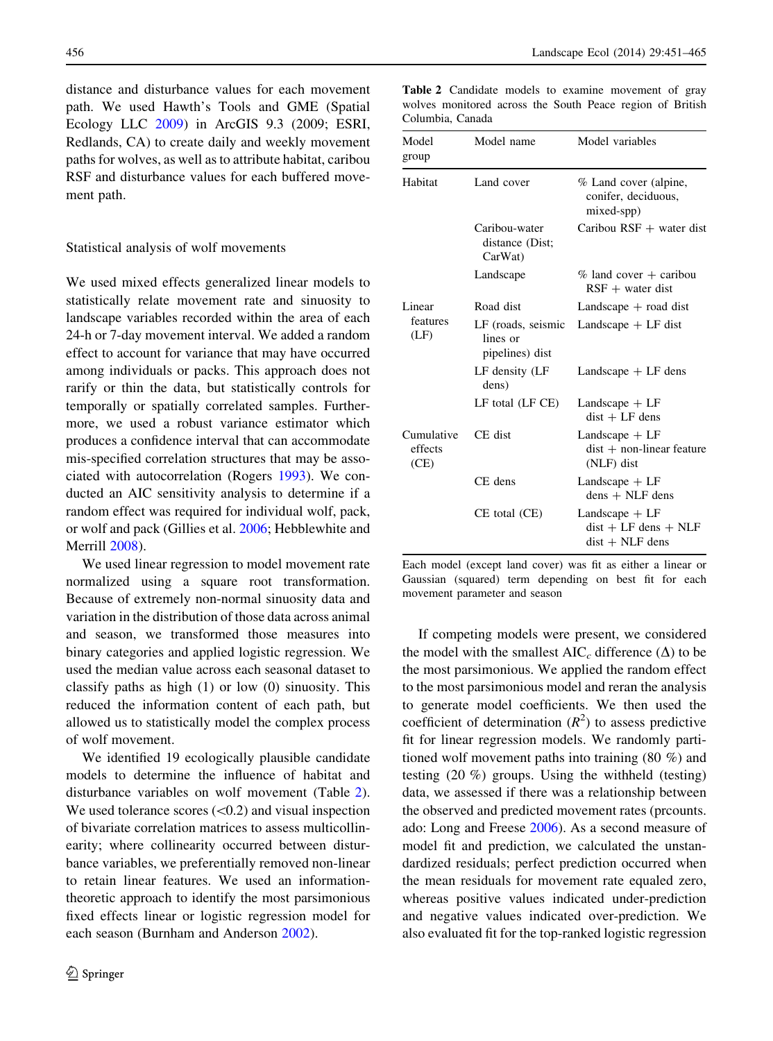distance and disturbance values for each movement path. We used Hawth's Tools and GME (Spatial Ecology LLC 2009) in ArcGIS 9.3 (2009; ESRI, Redlands, CA) to create daily and weekly movement paths for wolves, as well as to attribute habitat, caribou RSF and disturbance values for each buffered movement path.

#### Statistical analysis of wolf movements

We used mixed effects generalized linear models to statistically relate movement rate and sinuosity to landscape variables recorded within the area of each 24-h or 7-day movement interval. We added a random effect to account for variance that may have occurred among individuals or packs. This approach does not rarify or thin the data, but statistically controls for temporally or spatially correlated samples. Furthermore, we used a robust variance estimator which produces a confidence interval that can accommodate mis-specified correlation structures that may be associated with autocorrelation (Rogers 1993). We conducted an AIC sensitivity analysis to determine if a random effect was required for individual wolf, pack, or wolf and pack (Gillies et al. 2006; Hebblewhite and Merrill 2008).

We used linear regression to model movement rate normalized using a square root transformation. Because of extremely non-normal sinuosity data and variation in the distribution of those data across animal and season, we transformed those measures into binary categories and applied logistic regression. We used the median value across each seasonal dataset to classify paths as high (1) or low (0) sinuosity. This reduced the information content of each path, but allowed us to statistically model the complex process of wolf movement.

We identified 19 ecologically plausible candidate models to determine the influence of habitat and disturbance variables on wolf movement (Table 2). We used tolerance scores  $( $0.2$ )$  and visual inspection of bivariate correlation matrices to assess multicollinearity; where collinearity occurred between disturbance variables, we preferentially removed non-linear to retain linear features. We used an informationtheoretic approach to identify the most parsimonious fixed effects linear or logistic regression model for each season (Burnham and Anderson 2002).

Table 2 Candidate models to examine movement of gray wolves monitored across the South Peace region of British Columbia, Canada

| Model<br>group                | Model name                                        | Model variables                                                  |
|-------------------------------|---------------------------------------------------|------------------------------------------------------------------|
| Habitat                       | Land cover                                        | % Land cover (alpine,<br>conifer, deciduous,<br>mixed-spp)       |
|                               | Caribou-water<br>distance (Dist;<br>CarWat)       | Caribou $RSF + water$ dist                                       |
|                               | Landscape                                         | $%$ land cover $+$ caribou<br>$RSF + water$ dist                 |
| Linear<br>features<br>(LF)    | Road dist                                         | Landscape $+$ road dist                                          |
|                               | LF (roads, seismic<br>lines or<br>pipelines) dist | Landscape $+$ LF dist                                            |
|                               | LF density (LF<br>dens)                           | Landscape $+$ LF dens                                            |
|                               | LF total (LF CE)                                  | Landscape $+LF$<br>$dist + LF$ dens                              |
| Cumulative<br>effects<br>(CE) | CE dist                                           | Landscape $+LF$<br>$dist + non-linear feature$<br>(NLF) dist     |
|                               | CE dens                                           | $L$ andscape + $LF$<br>$dens + NLF$ dens                         |
|                               | CE total (CE)                                     | Landscape $+LF$<br>$dist + LF$ dens $+ NLF$<br>$dist + NLF$ dens |

Each model (except land cover) was fit as either a linear or Gaussian (squared) term depending on best fit for each movement parameter and season

If competing models were present, we considered the model with the smallest AIC<sub>c</sub> difference ( $\Delta$ ) to be the most parsimonious. We applied the random effect to the most parsimonious model and reran the analysis to generate model coefficients. We then used the coefficient of determination  $(R^2)$  to assess predictive fit for linear regression models. We randomly partitioned wolf movement paths into training (80 %) and testing (20 %) groups. Using the withheld (testing) data, we assessed if there was a relationship between the observed and predicted movement rates (prcounts. ado: Long and Freese 2006). As a second measure of model fit and prediction, we calculated the unstandardized residuals; perfect prediction occurred when the mean residuals for movement rate equaled zero, whereas positive values indicated under-prediction and negative values indicated over-prediction. We also evaluated fit for the top-ranked logistic regression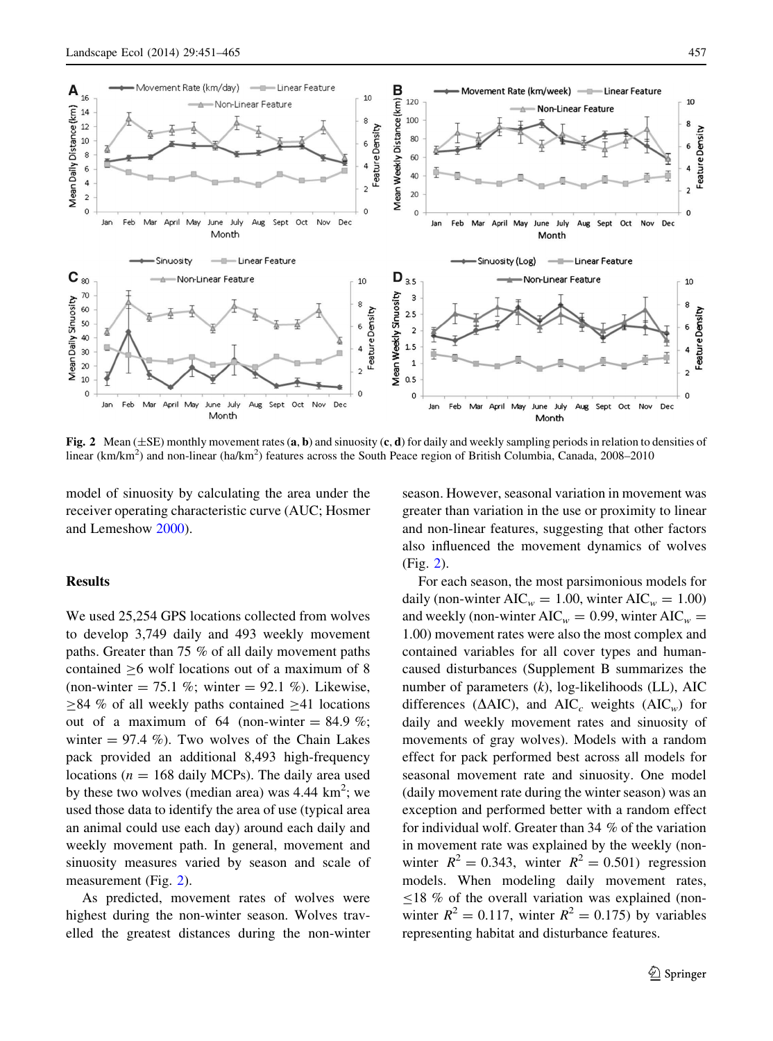

Fig. 2 Mean ( $\pm$ SE) monthly movement rates (a, b) and sinuosity (c, d) for daily and weekly sampling periods in relation to densities of linear (km/km<sup>2</sup>) and non-linear (ha/km<sup>2</sup>) features across the South Peace region of British Columbia, Canada, 2008–2010

model of sinuosity by calculating the area under the receiver operating characteristic curve (AUC; Hosmer and Lemeshow 2000).

#### Results

We used 25,254 GPS locations collected from wolves to develop 3,749 daily and 493 weekly movement paths. Greater than 75 % of all daily movement paths contained  $>6$  wolf locations out of a maximum of 8 (non-winter  $= 75.1$  %; winter  $= 92.1$  %). Likewise,  $\geq$ 84 % of all weekly paths contained  $\geq$ 41 locations out of a maximum of 64 (non-winter  $= 84.9\%$ ; winter  $= 97.4$  %). Two wolves of the Chain Lakes pack provided an additional 8,493 high-frequency locations ( $n = 168$  daily MCPs). The daily area used by these two wolves (median area) was  $4.44 \text{ km}^2$ ; we used those data to identify the area of use (typical area an animal could use each day) around each daily and weekly movement path. In general, movement and sinuosity measures varied by season and scale of measurement (Fig. 2).

As predicted, movement rates of wolves were highest during the non-winter season. Wolves travelled the greatest distances during the non-winter season. However, seasonal variation in movement was greater than variation in the use or proximity to linear and non-linear features, suggesting that other factors also influenced the movement dynamics of wolves (Fig. 2).

For each season, the most parsimonious models for daily (non-winter  $AIC_w = 1.00$ , winter  $AIC_w = 1.00$ ) and weekly (non-winter  $AIC_w = 0.99$ , winter  $AIC_w =$ 1.00) movement rates were also the most complex and contained variables for all cover types and humancaused disturbances (Supplement B summarizes the number of parameters  $(k)$ , log-likelihoods (LL), AIC differences ( $\triangle AIC$ ), and  $AIC_c$  weights ( $AIC_w$ ) for daily and weekly movement rates and sinuosity of movements of gray wolves). Models with a random effect for pack performed best across all models for seasonal movement rate and sinuosity. One model (daily movement rate during the winter season) was an exception and performed better with a random effect for individual wolf. Greater than 34 % of the variation in movement rate was explained by the weekly (nonwinter  $R^2 = 0.343$ , winter  $R^2 = 0.501$ ) regression models. When modeling daily movement rates,  $18\%$  of the overall variation was explained (nonwinter  $R^2 = 0.117$ , winter  $R^2 = 0.175$ ) by variables representing habitat and disturbance features.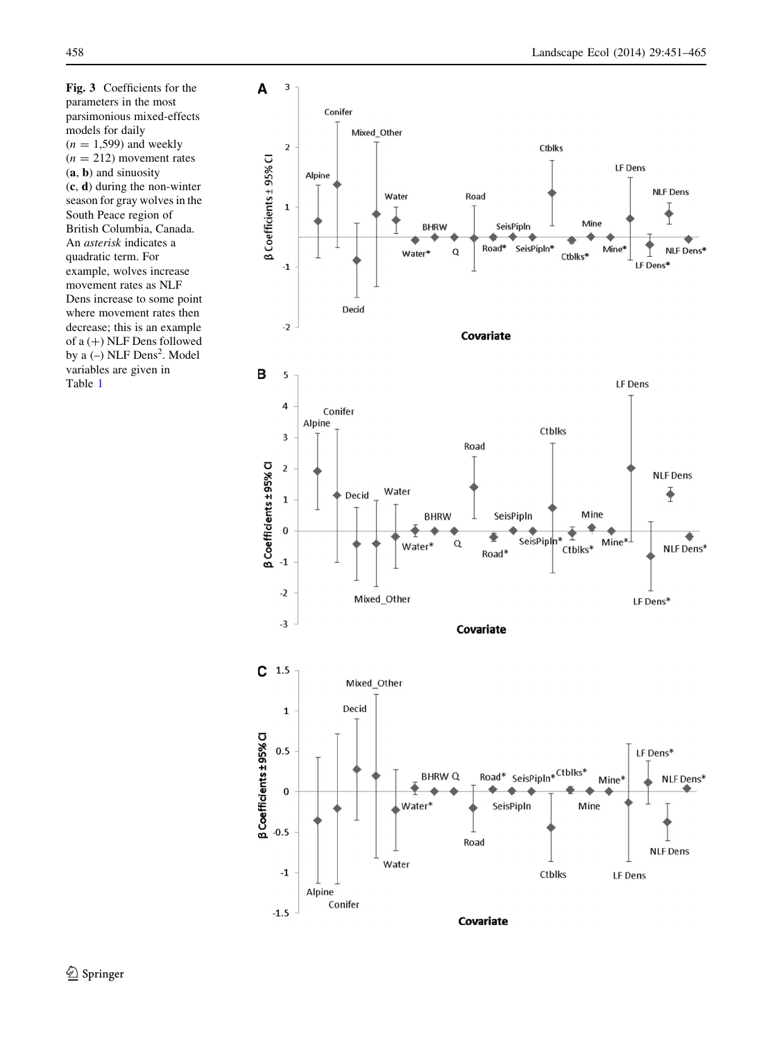Fig. 3 Coefficients for the parameters in the most parsimonious mixed-effects models for daily  $(n = 1,599)$  and weekly  $(n = 212)$  movement rates (a, b) and sinuosity (c, d) during the non-winter season for gray wolves in the South Peace region of British Columbia, Canada. An asterisk indicates a quadratic term. For example, wolves increase movement rates as NLF Dens increase to some point where movement rates then decrease; this is an example of a  $(+)$  NLF Dens followed by a (-) NLF Dens<sup>2</sup>. Model variables are given in Table 1



Covariate

 $-1.5$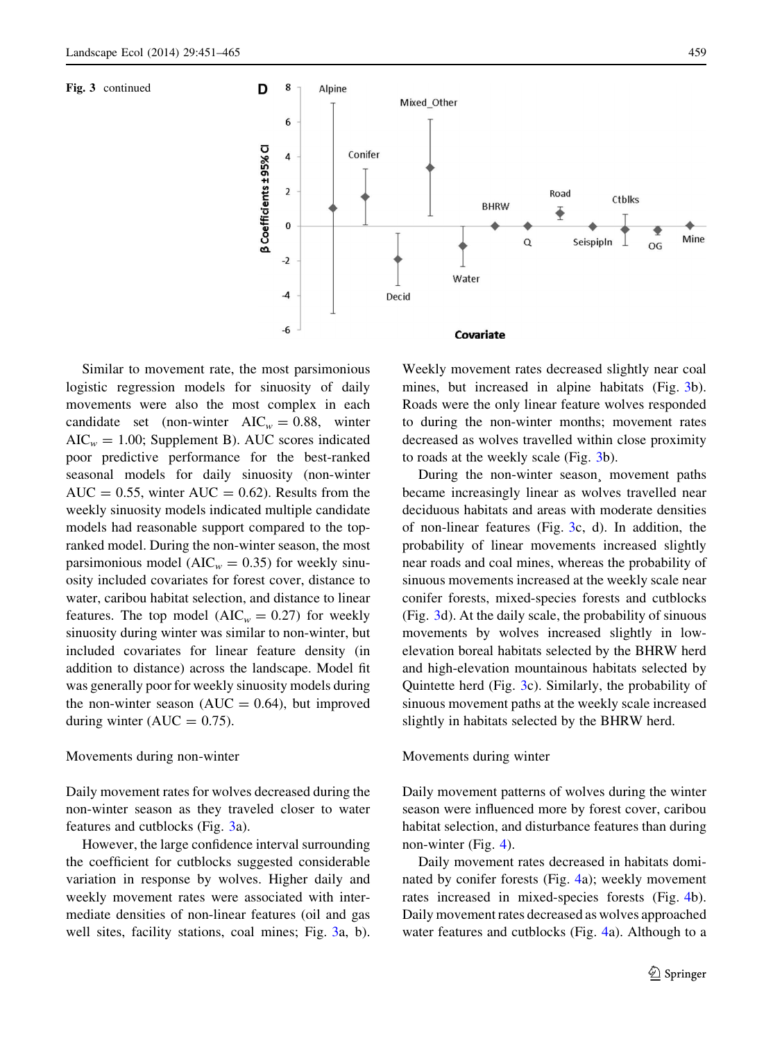



Similar to movement rate, the most parsimonious logistic regression models for sinuosity of daily movements were also the most complex in each candidate set (non-winter  $AIC_w = 0.88$ , winter  $AIC_w = 1.00$ ; Supplement B). AUC scores indicated poor predictive performance for the best-ranked seasonal models for daily sinuosity (non-winter  $AUC = 0.55$ , winter  $AUC = 0.62$ ). Results from the weekly sinuosity models indicated multiple candidate models had reasonable support compared to the topranked model. During the non-winter season, the most parsimonious model ( $AIC_w = 0.35$ ) for weekly sinuosity included covariates for forest cover, distance to water, caribou habitat selection, and distance to linear features. The top model ( $AIC_w = 0.27$ ) for weekly sinuosity during winter was similar to non-winter, but included covariates for linear feature density (in addition to distance) across the landscape. Model fit was generally poor for weekly sinuosity models during the non-winter season  $(AUC = 0.64)$ , but improved during winter (AUC  $= 0.75$ ).

#### Movements during non-winter

Daily movement rates for wolves decreased during the non-winter season as they traveled closer to water features and cutblocks (Fig. 3a).

However, the large confidence interval surrounding the coefficient for cutblocks suggested considerable variation in response by wolves. Higher daily and weekly movement rates were associated with intermediate densities of non-linear features (oil and gas well sites, facility stations, coal mines; Fig. 3a, b).

Weekly movement rates decreased slightly near coal mines, but increased in alpine habitats (Fig. 3b). Roads were the only linear feature wolves responded to during the non-winter months; movement rates decreased as wolves travelled within close proximity to roads at the weekly scale (Fig. 3b).

During the non-winter season¸ movement paths became increasingly linear as wolves travelled near deciduous habitats and areas with moderate densities of non-linear features (Fig. 3c, d). In addition, the probability of linear movements increased slightly near roads and coal mines, whereas the probability of sinuous movements increased at the weekly scale near conifer forests, mixed-species forests and cutblocks (Fig. 3d). At the daily scale, the probability of sinuous movements by wolves increased slightly in lowelevation boreal habitats selected by the BHRW herd and high-elevation mountainous habitats selected by Quintette herd (Fig. 3c). Similarly, the probability of sinuous movement paths at the weekly scale increased slightly in habitats selected by the BHRW herd.

#### Movements during winter

Daily movement patterns of wolves during the winter season were influenced more by forest cover, caribou habitat selection, and disturbance features than during non-winter (Fig. 4).

Daily movement rates decreased in habitats dominated by conifer forests (Fig. 4a); weekly movement rates increased in mixed-species forests (Fig. 4b). Daily movement rates decreased as wolves approached water features and cutblocks (Fig. 4a). Although to a

 $\textcircled{2}$  Springer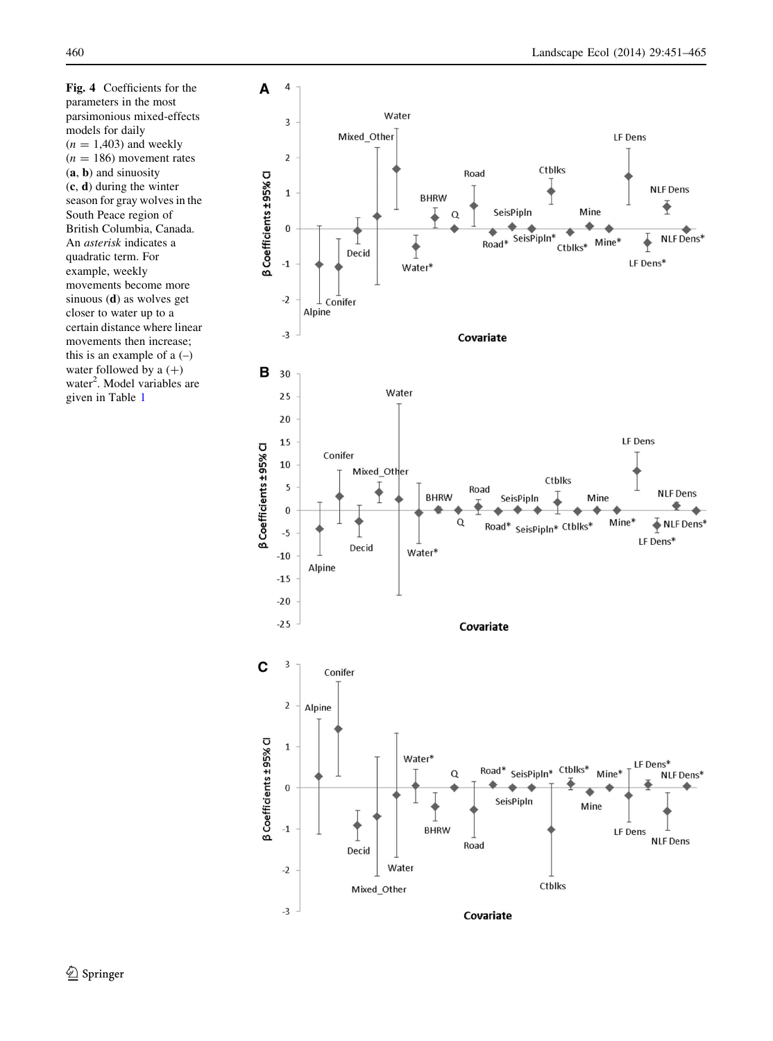Fig. 4 Coefficients for the parameters in the most parsimonious mixed-effects models for daily  $(n = 1,403)$  and weekly  $(n = 186)$  movement rates (a, b) and sinuosity (c, d) during the winter season for gray wolves in the South Peace region of British Columbia, Canada. An asterisk indicates a quadratic term. For example, weekly movements become more sinuous (d) as wolves get closer to water up to a certain distance where linear movements then increase; this is an example of a  $(-)$ water followed by a  $(+)$ water<sup>2</sup>. Model variables are given in Table 1



Decid

 $-2$ 

 $-3$ 

Water

Mixed\_Other

Ctblks

Covariate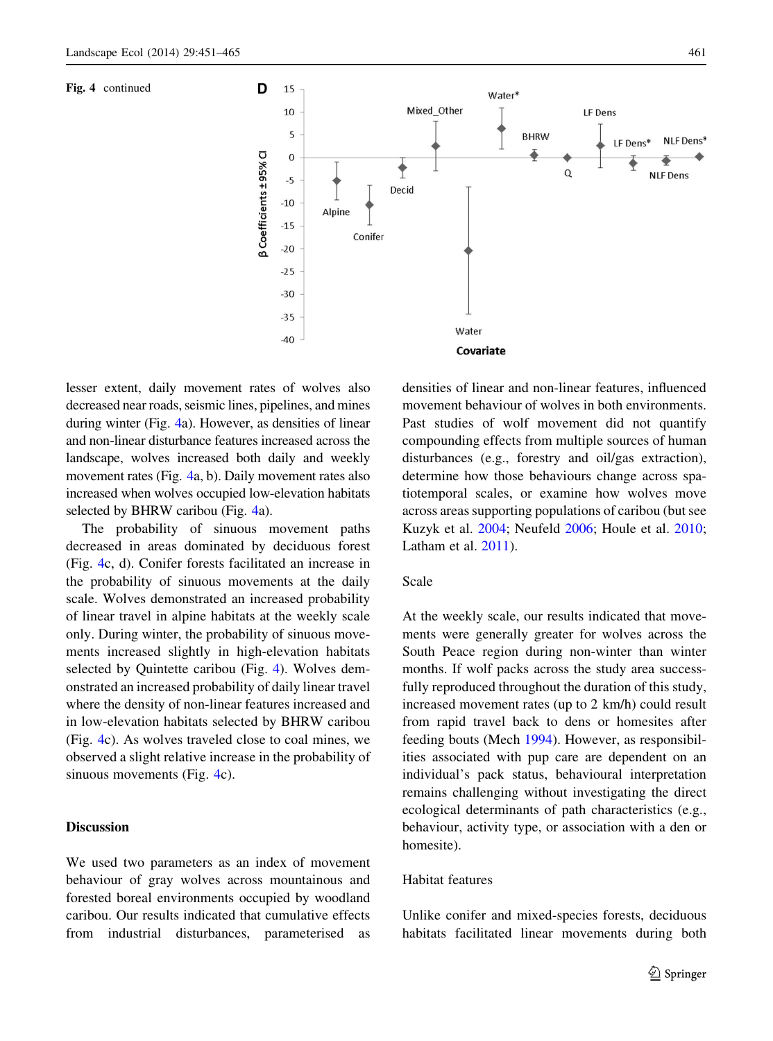



lesser extent, daily movement rates of wolves also decreased near roads, seismic lines, pipelines, and mines during winter (Fig. 4a). However, as densities of linear and non-linear disturbance features increased across the landscape, wolves increased both daily and weekly movement rates (Fig. 4a, b). Daily movement rates also increased when wolves occupied low-elevation habitats selected by BHRW caribou (Fig. 4a).

The probability of sinuous movement paths decreased in areas dominated by deciduous forest (Fig. 4c, d). Conifer forests facilitated an increase in the probability of sinuous movements at the daily scale. Wolves demonstrated an increased probability of linear travel in alpine habitats at the weekly scale only. During winter, the probability of sinuous movements increased slightly in high-elevation habitats selected by Quintette caribou (Fig. 4). Wolves demonstrated an increased probability of daily linear travel where the density of non-linear features increased and in low-elevation habitats selected by BHRW caribou (Fig. 4c). As wolves traveled close to coal mines, we observed a slight relative increase in the probability of sinuous movements (Fig. 4c).

# Discussion

We used two parameters as an index of movement behaviour of gray wolves across mountainous and forested boreal environments occupied by woodland caribou. Our results indicated that cumulative effects from industrial disturbances, parameterised as

densities of linear and non-linear features, influenced movement behaviour of wolves in both environments. Past studies of wolf movement did not quantify compounding effects from multiple sources of human disturbances (e.g., forestry and oil/gas extraction), determine how those behaviours change across spatiotemporal scales, or examine how wolves move across areas supporting populations of caribou (but see Kuzyk et al. 2004; Neufeld 2006; Houle et al. 2010; Latham et al. 2011).

## Scale

At the weekly scale, our results indicated that movements were generally greater for wolves across the South Peace region during non-winter than winter months. If wolf packs across the study area successfully reproduced throughout the duration of this study, increased movement rates (up to 2 km/h) could result from rapid travel back to dens or homesites after feeding bouts (Mech 1994). However, as responsibilities associated with pup care are dependent on an individual's pack status, behavioural interpretation remains challenging without investigating the direct ecological determinants of path characteristics (e.g., behaviour, activity type, or association with a den or homesite).

## Habitat features

Unlike conifer and mixed-species forests, deciduous habitats facilitated linear movements during both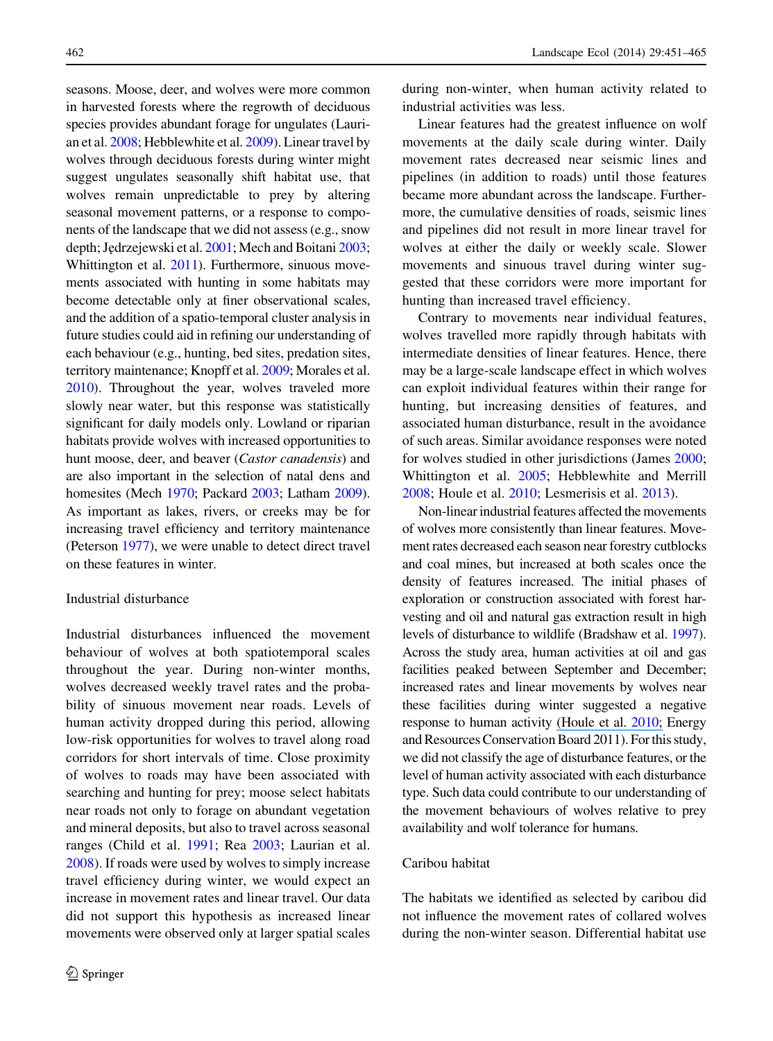seasons. Moose, deer, and wolves were more common in harvested forests where the regrowth of deciduous species provides abundant forage for ungulates (Laurian et al. 2008; Hebblewhite et al. 2009). Linear travel by wolves through deciduous forests during winter might suggest ungulates seasonally shift habitat use, that wolves remain unpredictable to prey by altering seasonal movement patterns, or a response to components of the landscape that we did not assess (e.g., snow depth; Jędrzejewski et al. 2001; Mech and Boitani 2003; Whittington et al. 2011). Furthermore, sinuous movements associated with hunting in some habitats may become detectable only at finer observational scales, and the addition of a spatio-temporal cluster analysis in future studies could aid in refining our understanding of each behaviour (e.g., hunting, bed sites, predation sites, territory maintenance; Knopff et al. 2009; Morales et al. 2010). Throughout the year, wolves traveled more slowly near water, but this response was statistically significant for daily models only. Lowland or riparian habitats provide wolves with increased opportunities to hunt moose, deer, and beaver (Castor canadensis) and are also important in the selection of natal dens and homesites (Mech 1970; Packard 2003; Latham 2009). As important as lakes, rivers, or creeks may be for increasing travel efficiency and territory maintenance (Peterson 1977), we were unable to detect direct travel on these features in winter.

# Industrial disturbance

Industrial disturbances influenced the movement behaviour of wolves at both spatiotemporal scales throughout the year. During non-winter months, wolves decreased weekly travel rates and the probability of sinuous movement near roads. Levels of human activity dropped during this period, allowing low-risk opportunities for wolves to travel along road corridors for short intervals of time. Close proximity of wolves to roads may have been associated with searching and hunting for prey; moose select habitats near roads not only to forage on abundant vegetation and mineral deposits, but also to travel across seasonal ranges (Child et al. 1991; Rea 2003; Laurian et al. 2008). If roads were used by wolves to simply increase travel efficiency during winter, we would expect an increase in movement rates and linear travel. Our data did not support this hypothesis as increased linear movements were observed only at larger spatial scales during non-winter, when human activity related to industrial activities was less.

Linear features had the greatest influence on wolf movements at the daily scale during winter. Daily movement rates decreased near seismic lines and pipelines (in addition to roads) until those features became more abundant across the landscape. Furthermore, the cumulative densities of roads, seismic lines and pipelines did not result in more linear travel for wolves at either the daily or weekly scale. Slower movements and sinuous travel during winter suggested that these corridors were more important for hunting than increased travel efficiency.

Contrary to movements near individual features, wolves travelled more rapidly through habitats with intermediate densities of linear features. Hence, there may be a large-scale landscape effect in which wolves can exploit individual features within their range for hunting, but increasing densities of features, and associated human disturbance, result in the avoidance of such areas. Similar avoidance responses were noted for wolves studied in other jurisdictions (James 2000; Whittington et al. 2005; Hebblewhite and Merrill 2008; Houle et al. 2010; Lesmerisis et al. 2013).

Non-linear industrial features affected the movements of wolves more consistently than linear features. Movement rates decreased each season near forestry cutblocks and coal mines, but increased at both scales once the density of features increased. The initial phases of exploration or construction associated with forest harvesting and oil and natural gas extraction result in high levels of disturbance to wildlife (Bradshaw et al. 1997). Across the study area, human activities at oil and gas facilities peaked between September and December; increased rates and linear movements by wolves near these facilities during winter suggested a negative response to human activity [\(Houle et al.](https://www.researchgate.net/publication/225958585_Cumulative_effects_of_forestry_on_habitat_use_by_gray_wolf_Canis_lupus_in_the_boreal_forest?el=1_x_8&enrichId=rgreq-8582d48d-1474-49c4-b747-e8b95e4e1040&enrichSource=Y292ZXJQYWdlOzI1OTg5MjE1NztBUzoyMDI2NjE4NzA3Mzk0NjJAMTQyNTMyOTc2MzQyMg==) 2010; Energy and Resources Conservation Board 2011). For this study, we did not classify the age of disturbance features, or the level of human activity associated with each disturbance type. Such data could contribute to our understanding of the movement behaviours of wolves relative to prey availability and wolf tolerance for humans.

## Caribou habitat

The habitats we identified as selected by caribou did not influence the movement rates of collared wolves during the non-winter season. Differential habitat use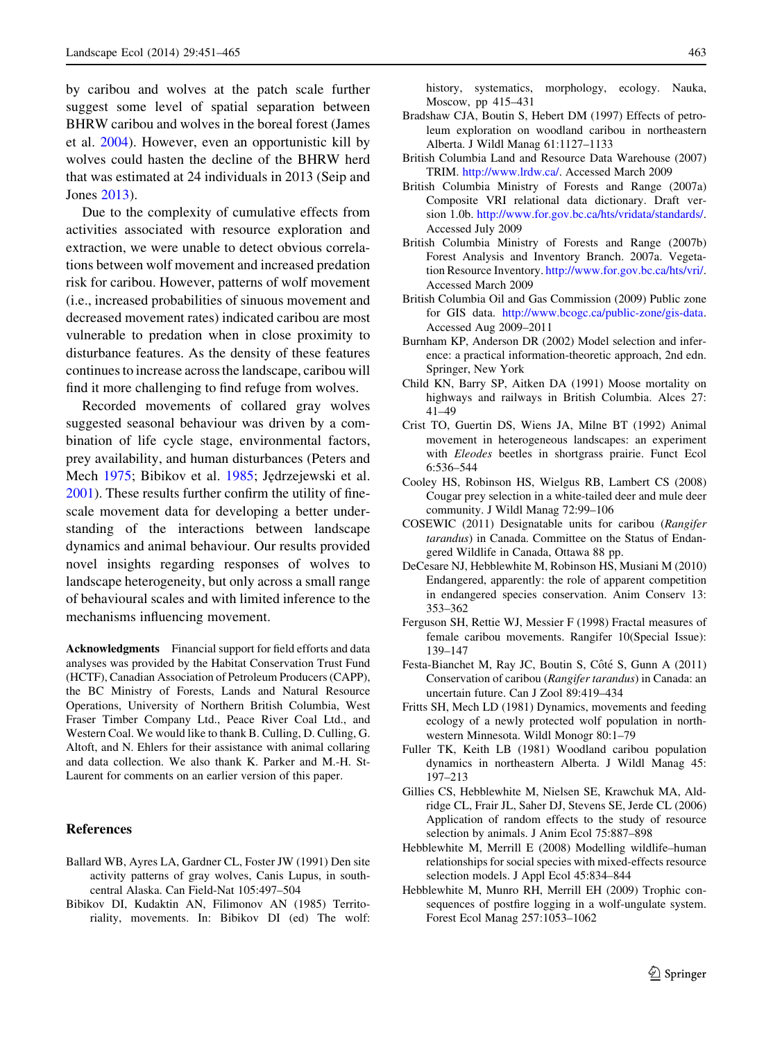by caribou and wolves at the patch scale further suggest some level of spatial separation between BHRW caribou and wolves in the boreal forest (James et al. 2004). However, even an opportunistic kill by wolves could hasten the decline of the BHRW herd that was estimated at 24 individuals in 2013 (Seip and Jones 2013).

Due to the complexity of cumulative effects from activities associated with resource exploration and extraction, we were unable to detect obvious correlations between wolf movement and increased predation risk for caribou. However, patterns of wolf movement (i.e., increased probabilities of sinuous movement and decreased movement rates) indicated caribou are most vulnerable to predation when in close proximity to disturbance features. As the density of these features continues to increase across the landscape, caribou will find it more challenging to find refuge from wolves.

Recorded movements of collared gray wolves suggested seasonal behaviour was driven by a combination of life cycle stage, environmental factors, prey availability, and human disturbances (Peters and Mech 1975; Bibikov et al. 1985; Jędrzejewski et al. 2001). These results further confirm the utility of finescale movement data for developing a better understanding of the interactions between landscape dynamics and animal behaviour. Our results provided novel insights regarding responses of wolves to landscape heterogeneity, but only across a small range of behavioural scales and with limited inference to the mechanisms influencing movement.

Acknowledgments Financial support for field efforts and data analyses was provided by the Habitat Conservation Trust Fund (HCTF), Canadian Association of Petroleum Producers (CAPP), the BC Ministry of Forests, Lands and Natural Resource Operations, University of Northern British Columbia, West Fraser Timber Company Ltd., Peace River Coal Ltd., and Western Coal. We would like to thank B. Culling, D. Culling, G. Altoft, and N. Ehlers for their assistance with animal collaring and data collection. We also thank K. Parker and M.-H. St-Laurent for comments on an earlier version of this paper.

#### References

- Ballard WB, Ayres LA, Gardner CL, Foster JW (1991) Den site activity patterns of gray wolves, Canis Lupus, in southcentral Alaska. Can Field-Nat 105:497–504
- Bibikov DI, Kudaktin AN, Filimonov AN (1985) Territoriality, movements. In: Bibikov DI (ed) The wolf:

history, systematics, morphology, ecology. Nauka, Moscow, pp 415–431

- Bradshaw CJA, Boutin S, Hebert DM (1997) Effects of petroleum exploration on woodland caribou in northeastern Alberta. J Wildl Manag 61:1127–1133
- British Columbia Land and Resource Data Warehouse (2007) TRIM. [http://www.lrdw.ca/.](http://www.lrdw.ca/) Accessed March 2009
- British Columbia Ministry of Forests and Range (2007a) Composite VRI relational data dictionary. Draft version 1.0b. <http://www.for.gov.bc.ca/hts/vridata/standards/>. Accessed July 2009
- British Columbia Ministry of Forests and Range (2007b) Forest Analysis and Inventory Branch. 2007a. Vegetation Resource Inventory. <http://www.for.gov.bc.ca/hts/vri/>. Accessed March 2009
- British Columbia Oil and Gas Commission (2009) Public zone for GIS data. <http://www.bcogc.ca/public-zone/gis-data>. Accessed Aug 2009–2011
- Burnham KP, Anderson DR (2002) Model selection and inference: a practical information-theoretic approach, 2nd edn. Springer, New York
- Child KN, Barry SP, Aitken DA (1991) Moose mortality on highways and railways in British Columbia. Alces 27: 41–49
- Crist TO, Guertin DS, Wiens JA, Milne BT (1992) Animal movement in heterogeneous landscapes: an experiment with Eleodes beetles in shortgrass prairie. Funct Ecol 6:536–544
- Cooley HS, Robinson HS, Wielgus RB, Lambert CS (2008) Cougar prey selection in a white-tailed deer and mule deer community. J Wildl Manag 72:99–106
- COSEWIC (2011) Designatable units for caribou (Rangifer tarandus) in Canada. Committee on the Status of Endangered Wildlife in Canada, Ottawa 88 pp.
- DeCesare NJ, Hebblewhite M, Robinson HS, Musiani M (2010) Endangered, apparently: the role of apparent competition in endangered species conservation. Anim Conserv 13: 353–362
- Ferguson SH, Rettie WJ, Messier F (1998) Fractal measures of female caribou movements. Rangifer 10(Special Issue): 139–147
- Festa-Bianchet M, Ray JC, Boutin S, Côté S, Gunn A (2011) Conservation of caribou (Rangifer tarandus) in Canada: an uncertain future. Can J Zool 89:419–434
- Fritts SH, Mech LD (1981) Dynamics, movements and feeding ecology of a newly protected wolf population in northwestern Minnesota. Wildl Monogr 80:1–79
- Fuller TK, Keith LB (1981) Woodland caribou population dynamics in northeastern Alberta. J Wildl Manag 45: 197–213
- Gillies CS, Hebblewhite M, Nielsen SE, Krawchuk MA, Aldridge CL, Frair JL, Saher DJ, Stevens SE, Jerde CL (2006) Application of random effects to the study of resource selection by animals. J Anim Ecol 75:887–898
- Hebblewhite M, Merrill E (2008) Modelling wildlife–human relationships for social species with mixed-effects resource selection models. J Appl Ecol 45:834–844
- Hebblewhite M, Munro RH, Merrill EH (2009) Trophic consequences of postfire logging in a wolf-ungulate system. Forest Ecol Manag 257:1053–1062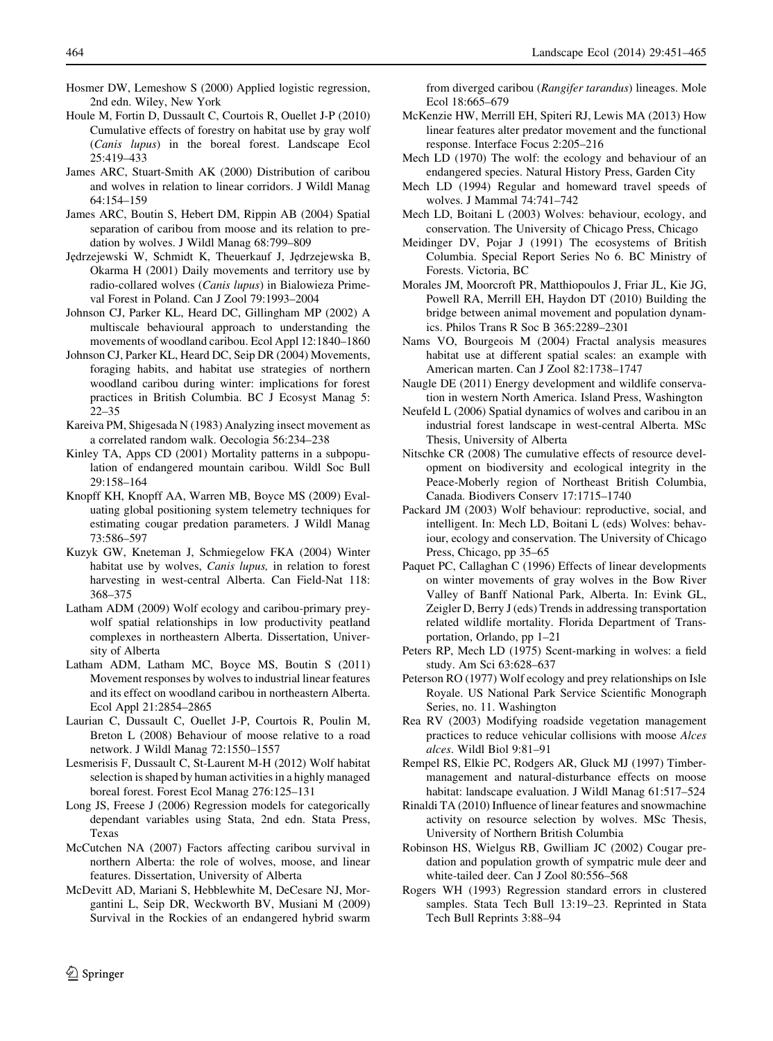- Hosmer DW, Lemeshow S (2000) Applied logistic regression, 2nd edn. Wiley, New York
- Houle M, Fortin D, Dussault C, Courtois R, Ouellet J-P (2010) Cumulative effects of forestry on habitat use by gray wolf (Canis lupus) in the boreal forest. Landscape Ecol 25:419–433
- James ARC, Stuart-Smith AK (2000) Distribution of caribou and wolves in relation to linear corridors. J Wildl Manag 64:154–159
- James ARC, Boutin S, Hebert DM, Rippin AB (2004) Spatial separation of caribou from moose and its relation to predation by wolves. J Wildl Manag 68:799–809
- Jędrzejewski W, Schmidt K, Theuerkauf J, Jędrzejewska B, Okarma H (2001) Daily movements and territory use by radio-collared wolves (Canis lupus) in Bialowieza Primeval Forest in Poland. Can J Zool 79:1993–2004
- Johnson CJ, Parker KL, Heard DC, Gillingham MP (2002) A multiscale behavioural approach to understanding the movements of woodland caribou. Ecol Appl 12:1840–1860
- Johnson CJ, Parker KL, Heard DC, Seip DR (2004) Movements, foraging habits, and habitat use strategies of northern woodland caribou during winter: implications for forest practices in British Columbia. BC J Ecosyst Manag 5: 22–35
- Kareiva PM, Shigesada N (1983) Analyzing insect movement as a correlated random walk. Oecologia 56:234–238
- Kinley TA, Apps CD (2001) Mortality patterns in a subpopulation of endangered mountain caribou. Wildl Soc Bull 29:158–164
- Knopff KH, Knopff AA, Warren MB, Boyce MS (2009) Evaluating global positioning system telemetry techniques for estimating cougar predation parameters. J Wildl Manag 73:586–597
- Kuzyk GW, Kneteman J, Schmiegelow FKA (2004) Winter habitat use by wolves, Canis lupus, in relation to forest harvesting in west-central Alberta. Can Field-Nat 118: 368–375
- Latham ADM (2009) Wolf ecology and caribou-primary preywolf spatial relationships in low productivity peatland complexes in northeastern Alberta. Dissertation, University of Alberta
- Latham ADM, Latham MC, Boyce MS, Boutin S (2011) Movement responses by wolves to industrial linear features and its effect on woodland caribou in northeastern Alberta. Ecol Appl 21:2854–2865
- Laurian C, Dussault C, Ouellet J-P, Courtois R, Poulin M, Breton L (2008) Behaviour of moose relative to a road network. J Wildl Manag 72:1550–1557
- Lesmerisis F, Dussault C, St-Laurent M-H (2012) Wolf habitat selection is shaped by human activities in a highly managed boreal forest. Forest Ecol Manag 276:125–131
- Long JS, Freese J (2006) Regression models for categorically dependant variables using Stata, 2nd edn. Stata Press, Texas
- McCutchen NA (2007) Factors affecting caribou survival in northern Alberta: the role of wolves, moose, and linear features. Dissertation, University of Alberta
- McDevitt AD, Mariani S, Hebblewhite M, DeCesare NJ, Morgantini L, Seip DR, Weckworth BV, Musiani M (2009) Survival in the Rockies of an endangered hybrid swarm

from diverged caribou (Rangifer tarandus) lineages. Mole Ecol 18:665–679

- McKenzie HW, Merrill EH, Spiteri RJ, Lewis MA (2013) How linear features alter predator movement and the functional response. Interface Focus 2:205–216
- Mech LD (1970) The wolf: the ecology and behaviour of an endangered species. Natural History Press, Garden City
- Mech LD (1994) Regular and homeward travel speeds of wolves. J Mammal 74:741–742
- Mech LD, Boitani L (2003) Wolves: behaviour, ecology, and conservation. The University of Chicago Press, Chicago
- Meidinger DV, Pojar J (1991) The ecosystems of British Columbia. Special Report Series No 6. BC Ministry of Forests. Victoria, BC
- Morales JM, Moorcroft PR, Matthiopoulos J, Friar JL, Kie JG, Powell RA, Merrill EH, Haydon DT (2010) Building the bridge between animal movement and population dynamics. Philos Trans R Soc B 365:2289–2301
- Nams VO, Bourgeois M (2004) Fractal analysis measures habitat use at different spatial scales: an example with American marten. Can J Zool 82:1738–1747
- Naugle DE (2011) Energy development and wildlife conservation in western North America. Island Press, Washington
- Neufeld L (2006) Spatial dynamics of wolves and caribou in an industrial forest landscape in west-central Alberta. MSc Thesis, University of Alberta
- Nitschke CR (2008) The cumulative effects of resource development on biodiversity and ecological integrity in the Peace-Moberly region of Northeast British Columbia, Canada. Biodivers Conserv 17:1715–1740
- Packard JM (2003) Wolf behaviour: reproductive, social, and intelligent. In: Mech LD, Boitani L (eds) Wolves: behaviour, ecology and conservation. The University of Chicago Press, Chicago, pp 35–65
- Paquet PC, Callaghan C (1996) Effects of linear developments on winter movements of gray wolves in the Bow River Valley of Banff National Park, Alberta. In: Evink GL, Zeigler D, Berry J (eds) Trends in addressing transportation related wildlife mortality. Florida Department of Transportation, Orlando, pp 1–21
- Peters RP, Mech LD (1975) Scent-marking in wolves: a field study. Am Sci 63:628–637
- Peterson RO (1977) Wolf ecology and prey relationships on Isle Royale. US National Park Service Scientific Monograph Series, no. 11. Washington
- Rea RV (2003) Modifying roadside vegetation management practices to reduce vehicular collisions with moose Alces alces. Wildl Biol 9:81–91
- Rempel RS, Elkie PC, Rodgers AR, Gluck MJ (1997) Timbermanagement and natural-disturbance effects on moose habitat: landscape evaluation. J Wildl Manag 61:517–524
- Rinaldi TA (2010) Influence of linear features and snowmachine activity on resource selection by wolves. MSc Thesis, University of Northern British Columbia
- Robinson HS, Wielgus RB, Gwilliam JC (2002) Cougar predation and population growth of sympatric mule deer and white-tailed deer. Can J Zool 80:556–568
- Rogers WH (1993) Regression standard errors in clustered samples. Stata Tech Bull 13:19–23. Reprinted in Stata Tech Bull Reprints 3:88–94